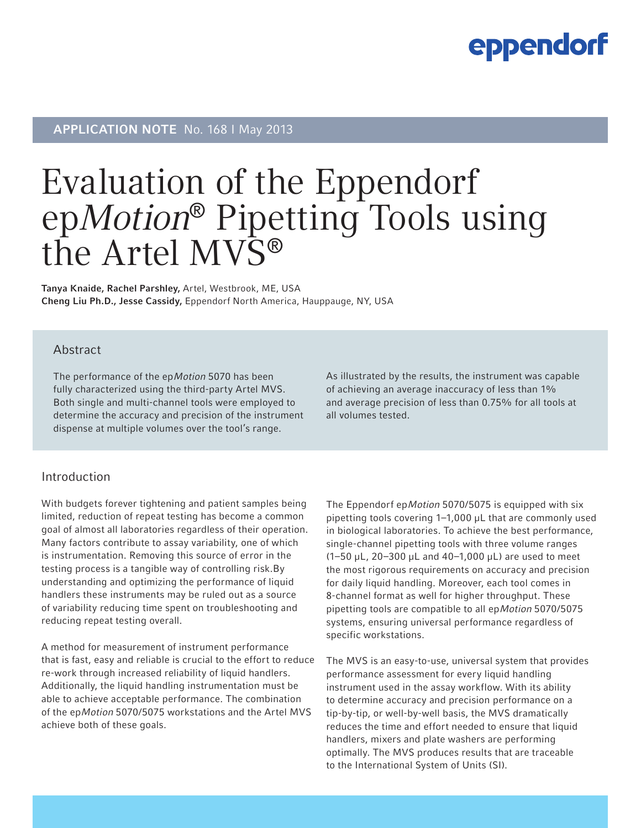### eppendorf

### APPLICATION NOTE No. 168 | May 2013

# Evaluation of the Eppendorf epMotion® Pipetting Tools using the Artel MVS®

Tanya Knaide, Rachel Parshley, Artel, Westbrook, ME, USA Cheng Liu Ph.D., Jesse Cassidy, Eppendorf North America, Hauppauge, NY, USA

#### Abstract

The performance of the epMotion 5070 has been fully characterized using the third-party Artel MVS. Both single and multi-channel tools were employed to determine the accuracy and precision of the instrument dispense at multiple volumes over the tool's range.

As illustrated by the results, the instrument was capable of achieving an average inaccuracy of less than 1% and average precision of less than 0.75% for all tools at all volumes tested.

#### Introduction

With budgets forever tightening and patient samples being limited, reduction of repeat testing has become a common goal of almost all laboratories regardless of their operation. Many factors contribute to assay variability, one of which is instrumentation. Removing this source of error in the testing process is a tangible way of controlling risk.By understanding and optimizing the performance of liquid handlers these instruments may be ruled out as a source of variability reducing time spent on troubleshooting and reducing repeat testing overall.

A method for measurement of instrument performance that is fast, easy and reliable is crucial to the effort to reduce re-work through increased reliability of liquid handlers. Additionally, the liquid handling instrumentation must be able to achieve acceptable performance. The combination of the epMotion 5070/5075 workstations and the Artel MVS achieve both of these goals.

The Eppendorf epMotion 5070/5075 is equipped with six pipetting tools covering 1–1,000 µL that are commonly used in biological laboratories. To achieve the best performance, single-channel pipetting tools with three volume ranges (1–50 µL, 20–300 µL and 40–1,000 µL) are used to meet the most rigorous requirements on accuracy and precision for daily liquid handling. Moreover, each tool comes in 8-channel format as well for higher throughput. These pipetting tools are compatible to all epMotion 5070/5075 systems, ensuring universal performance regardless of specific workstations.

The MVS is an easy-to-use, universal system that provides performance assessment for every liquid handling instrument used in the assay workflow. With its ability to determine accuracy and precision performance on a tip-by-tip, or well-by-well basis, the MVS dramatically reduces the time and effort needed to ensure that liquid handlers, mixers and plate washers are performing optimally. The MVS produces results that are traceable to the International System of Units (SI).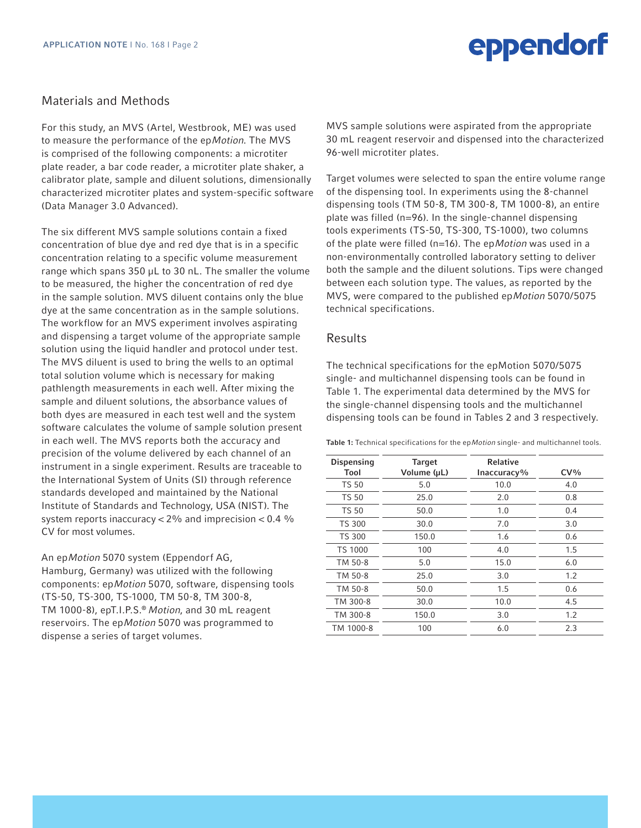## eppendorf

#### Materials and Methods

For this study, an MVS (Artel, Westbrook, ME) was used to measure the performance of the epMotion. The MVS is comprised of the following components: a microtiter plate reader, a bar code reader, a microtiter plate shaker, a calibrator plate, sample and diluent solutions, dimensionally characterized microtiter plates and system-specific software (Data Manager 3.0 Advanced).

The six different MVS sample solutions contain a fixed concentration of blue dye and red dye that is in a specific concentration relating to a specific volume measurement range which spans 350 µL to 30 nL. The smaller the volume to be measured, the higher the concentration of red dye in the sample solution. MVS diluent contains only the blue dye at the same concentration as in the sample solutions. The workflow for an MVS experiment involves aspirating and dispensing a target volume of the appropriate sample solution using the liquid handler and protocol under test. The MVS diluent is used to bring the wells to an optimal total solution volume which is necessary for making pathlength measurements in each well. After mixing the sample and diluent solutions, the absorbance values of both dyes are measured in each test well and the system software calculates the volume of sample solution present in each well. The MVS reports both the accuracy and precision of the volume delivered by each channel of an instrument in a single experiment. Results are traceable to the International System of Units (SI) through reference standards developed and maintained by the National Institute of Standards and Technology, USA (NIST). The system reports inaccuracy  $< 2\%$  and imprecision  $< 0.4\%$ CV for most volumes.

An epMotion 5070 system (Eppendorf AG, Hamburg, Germany) was utilized with the following components: epMotion 5070, software, dispensing tools (TS-50, TS-300, TS-1000, TM 50-8, TM 300-8, TM 1000-8), epT.I.P.S.® Motion, and 30 mL reagent reservoirs. The epMotion 5070 was programmed to dispense a series of target volumes.

MVS sample solutions were aspirated from the appropriate 30 mL reagent reservoir and dispensed into the characterized 96-well microtiter plates.

Target volumes were selected to span the entire volume range of the dispensing tool. In experiments using the 8-channel dispensing tools (TM 50-8, TM 300-8, TM 1000-8), an entire plate was filled (n=96). In the single-channel dispensing tools experiments (TS-50, TS-300, TS-1000), two columns of the plate were filled ( $n=16$ ). The ep*Motion* was used in a non-environmentally controlled laboratory setting to deliver both the sample and the diluent solutions. Tips were changed between each solution type. The values, as reported by the MVS, were compared to the published epMotion 5070/5075 technical specifications.

#### **Results**

The technical specifications for the epMotion 5070/5075 single- and multichannel dispensing tools can be found in Table 1. The experimental data determined by the MVS for the single-channel dispensing tools and the multichannel dispensing tools can be found in Tables 2 and 3 respectively.

Table 1: Technical specifications for the epMotion single- and multichannel tools.

| Dispensing<br>Tool | <b>Target</b><br>Volume (µL) | <b>Relative</b><br>Inaccuracy% | $CV\%$ |
|--------------------|------------------------------|--------------------------------|--------|
| <b>TS 50</b>       | 5.0                          | 10.0                           | 4.0    |
| TS 50              | 25.0                         | 2.0                            | 0.8    |
| <b>TS 50</b>       | 50.0                         | 1.0                            | 0.4    |
| <b>TS 300</b>      | 30.0                         | 7.0                            | 3.0    |
| <b>TS 300</b>      | 150.0                        | 1.6                            | 0.6    |
| <b>TS 1000</b>     | 100                          | 4.0                            | 1.5    |
| TM 50-8            | 5.0                          | 15.0                           | 6.0    |
| TM 50-8            | 25.0                         | 3.0                            | 1.2    |
| TM 50-8            | 50.0                         | 1.5                            | 0.6    |
| TM 300-8           | 30.0                         | 10.0                           | 4.5    |
| TM 300-8           | 150.0                        | 3.0                            | 1.2    |
| TM 1000-8          | 100                          | 6.0                            | 2.3    |